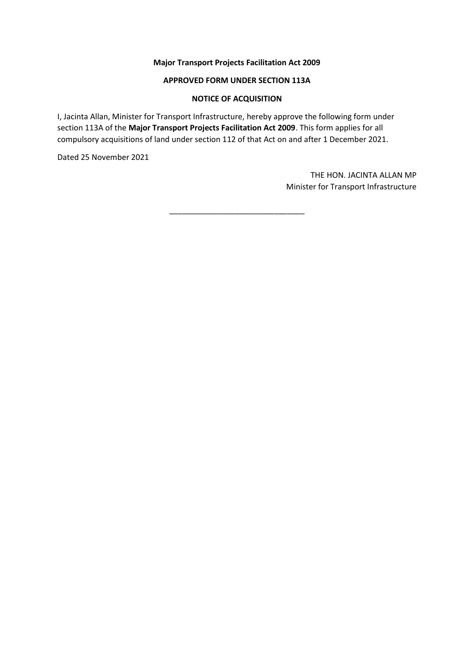## **Major Transport Projects Facilitation Act 2009**

#### **APPROVED FORM UNDER SECTION 113A**

#### **NOTICE OF ACQUISITION**

I, Jacinta Allan, Minister for Transport Infrastructure, hereby approve the following form under section 113A of the **Major Transport Projects Facilitation Act 2009**. This form applies for all compulsory acquisitions of land under section 112 of that Act on and after 1 December 2021.

Dated 25 November 2021

THE HON. JACINTA ALLAN MP Minister for Transport Infrastructure

\_\_\_\_\_\_\_\_\_\_\_\_\_\_\_\_\_\_\_\_\_\_\_\_\_\_\_\_\_\_\_